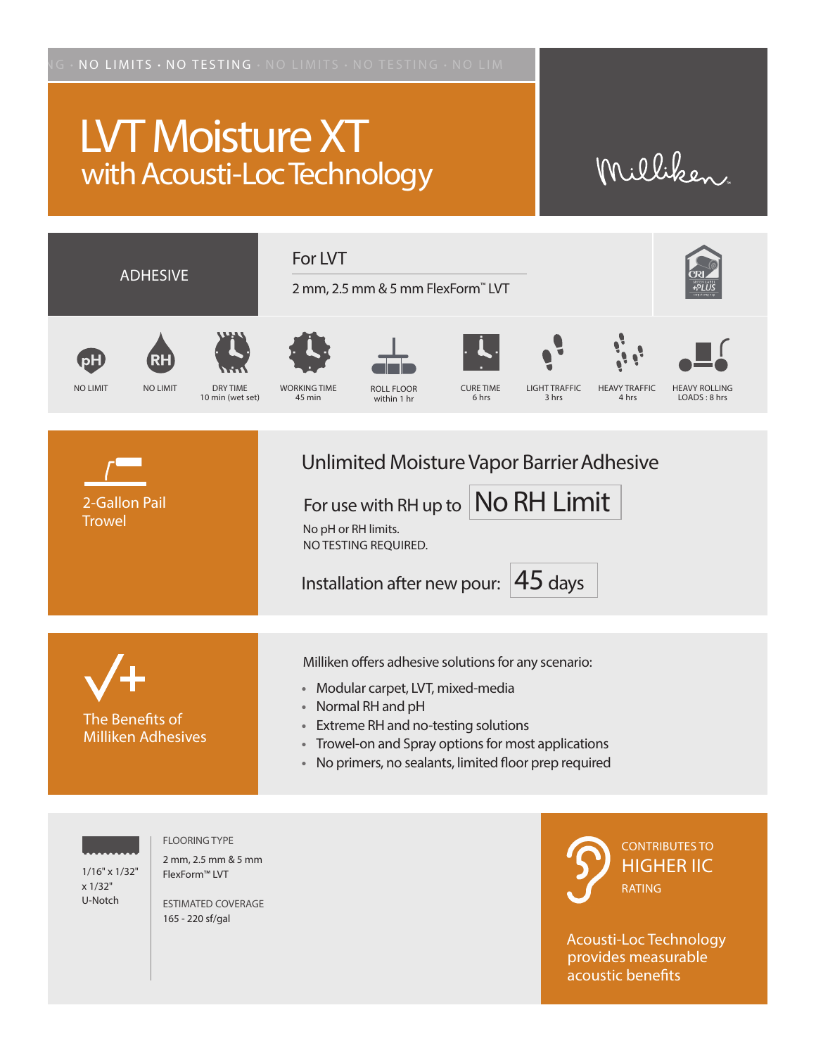## LVT Moisture XT with Acousti-Loc Technology

## Milliken



1/16" x 1/32" x 1/32"

U-Notch

FLOORING TYPE 2 mm, 2.5 mm & 5 mm

FlexForm™ LVT ESTIMATED COVERAGE 165 - 220 sf/gal

CONTRIBUTES TO HIGHER IIC RATING

Acousti-Loc Technology provides measurable acoustic benefits